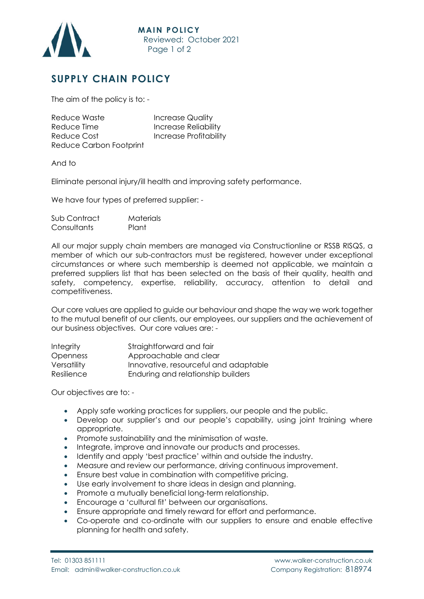

## **SUPPLY CHAIN POLICY**

The aim of the policy is to: -

| Reduce Waste            | <b>Increase Quality</b>       |
|-------------------------|-------------------------------|
| Reduce Time             | <b>Increase Reliability</b>   |
| Reduce Cost             | <b>Increase Profitability</b> |
| Reduce Carbon Footprint |                               |

And to

Eliminate personal injury/ill health and improving safety performance.

We have four types of preferred supplier: -

| Sub Contract | Materials |
|--------------|-----------|
| Consultants  | Plant     |

All our major supply chain members are managed via Constructionline or RSSB RISQS, a member of which our sub-contractors must be registered, however under exceptional circumstances or where such membership is deemed not applicable, we maintain a preferred suppliers list that has been selected on the basis of their quality, health and safety, competency, expertise, reliability, accuracy, attention to detail and competitiveness.

Our core values are applied to guide our behaviour and shape the way we work together to the mutual benefit of our clients, our employees, our suppliers and the achievement of our business objectives. Our core values are: -

| <b>Integrity</b> | Straightforward and fair              |
|------------------|---------------------------------------|
| <b>Openness</b>  | Approachable and clear                |
| Versatility      | Innovative, resourceful and adaptable |
| Resilience       | Enduring and relationship builders    |

Our objectives are to: -

- Apply safe working practices for suppliers, our people and the public.
- Develop our supplier's and our people's capability, using joint training where appropriate.
- Promote sustainability and the minimisation of waste.
- Integrate, improve and innovate our products and processes.
- Identify and apply 'best practice' within and outside the industry.
- Measure and review our performance, driving continuous improvement.
- Ensure best value in combination with competitive pricing.
- Use early involvement to share ideas in design and planning.
- Promote a mutually beneficial long-term relationship.
- Encourage a 'cultural fit' between our organisations.
- Ensure appropriate and timely reward for effort and performance.
- Co-operate and co-ordinate with our suppliers to ensure and enable effective planning for health and safety.